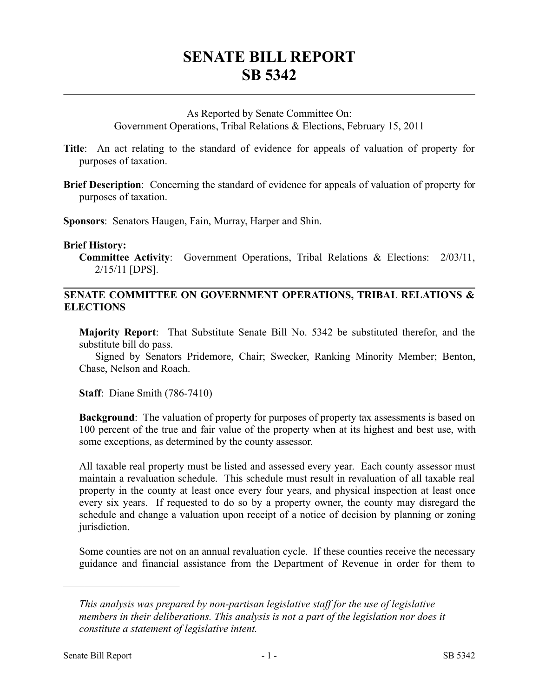# **SENATE BILL REPORT SB 5342**

### As Reported by Senate Committee On:

Government Operations, Tribal Relations & Elections, February 15, 2011

- **Title**: An act relating to the standard of evidence for appeals of valuation of property for purposes of taxation.
- **Brief Description**: Concerning the standard of evidence for appeals of valuation of property for purposes of taxation.

**Sponsors**: Senators Haugen, Fain, Murray, Harper and Shin.

#### **Brief History:**

**Committee Activity**: Government Operations, Tribal Relations & Elections: 2/03/11, 2/15/11 [DPS].

## **SENATE COMMITTEE ON GOVERNMENT OPERATIONS, TRIBAL RELATIONS & ELECTIONS**

**Majority Report**: That Substitute Senate Bill No. 5342 be substituted therefor, and the substitute bill do pass.

Signed by Senators Pridemore, Chair; Swecker, Ranking Minority Member; Benton, Chase, Nelson and Roach.

**Staff**: Diane Smith (786-7410)

**Background**: The valuation of property for purposes of property tax assessments is based on 100 percent of the true and fair value of the property when at its highest and best use, with some exceptions, as determined by the county assessor.

All taxable real property must be listed and assessed every year. Each county assessor must maintain a revaluation schedule. This schedule must result in revaluation of all taxable real property in the county at least once every four years, and physical inspection at least once every six years. If requested to do so by a property owner, the county may disregard the schedule and change a valuation upon receipt of a notice of decision by planning or zoning jurisdiction.

Some counties are not on an annual revaluation cycle. If these counties receive the necessary guidance and financial assistance from the Department of Revenue in order for them to

––––––––––––––––––––––

*This analysis was prepared by non-partisan legislative staff for the use of legislative members in their deliberations. This analysis is not a part of the legislation nor does it constitute a statement of legislative intent.*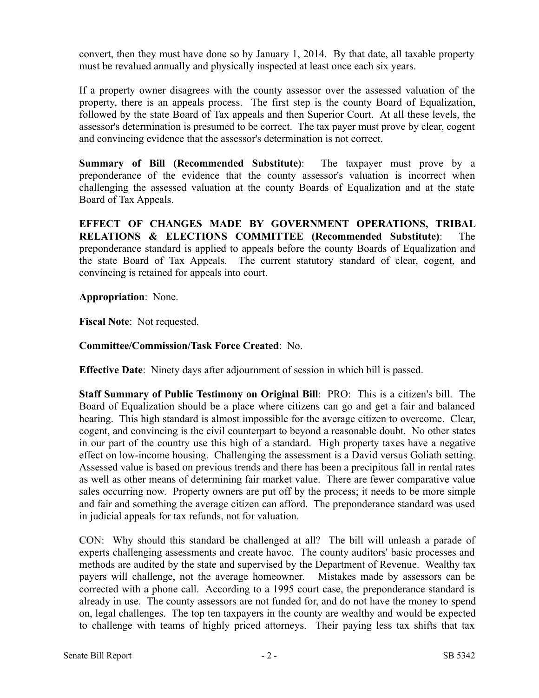convert, then they must have done so by January 1, 2014. By that date, all taxable property must be revalued annually and physically inspected at least once each six years.

If a property owner disagrees with the county assessor over the assessed valuation of the property, there is an appeals process. The first step is the county Board of Equalization, followed by the state Board of Tax appeals and then Superior Court. At all these levels, the assessor's determination is presumed to be correct. The tax payer must prove by clear, cogent and convincing evidence that the assessor's determination is not correct.

**Summary of Bill (Recommended Substitute)**: The taxpayer must prove by a preponderance of the evidence that the county assessor's valuation is incorrect when challenging the assessed valuation at the county Boards of Equalization and at the state Board of Tax Appeals.

**EFFECT OF CHANGES MADE BY GOVERNMENT OPERATIONS, TRIBAL RELATIONS & ELECTIONS COMMITTEE (Recommended Substitute)**: The preponderance standard is applied to appeals before the county Boards of Equalization and the state Board of Tax Appeals. The current statutory standard of clear, cogent, and convincing is retained for appeals into court.

## **Appropriation**: None.

**Fiscal Note**: Not requested.

# **Committee/Commission/Task Force Created**: No.

**Effective Date**: Ninety days after adjournment of session in which bill is passed.

**Staff Summary of Public Testimony on Original Bill**: PRO: This is a citizen's bill. The Board of Equalization should be a place where citizens can go and get a fair and balanced hearing. This high standard is almost impossible for the average citizen to overcome. Clear, cogent, and convincing is the civil counterpart to beyond a reasonable doubt. No other states in our part of the country use this high of a standard. High property taxes have a negative effect on low-income housing. Challenging the assessment is a David versus Goliath setting. Assessed value is based on previous trends and there has been a precipitous fall in rental rates as well as other means of determining fair market value. There are fewer comparative value sales occurring now. Property owners are put off by the process; it needs to be more simple and fair and something the average citizen can afford. The preponderance standard was used in judicial appeals for tax refunds, not for valuation.

CON: Why should this standard be challenged at all? The bill will unleash a parade of experts challenging assessments and create havoc. The county auditors' basic processes and methods are audited by the state and supervised by the Department of Revenue. Wealthy tax payers will challenge, not the average homeowner. Mistakes made by assessors can be corrected with a phone call. According to a 1995 court case, the preponderance standard is already in use. The county assessors are not funded for, and do not have the money to spend on, legal challenges. The top ten taxpayers in the county are wealthy and would be expected to challenge with teams of highly priced attorneys. Their paying less tax shifts that tax